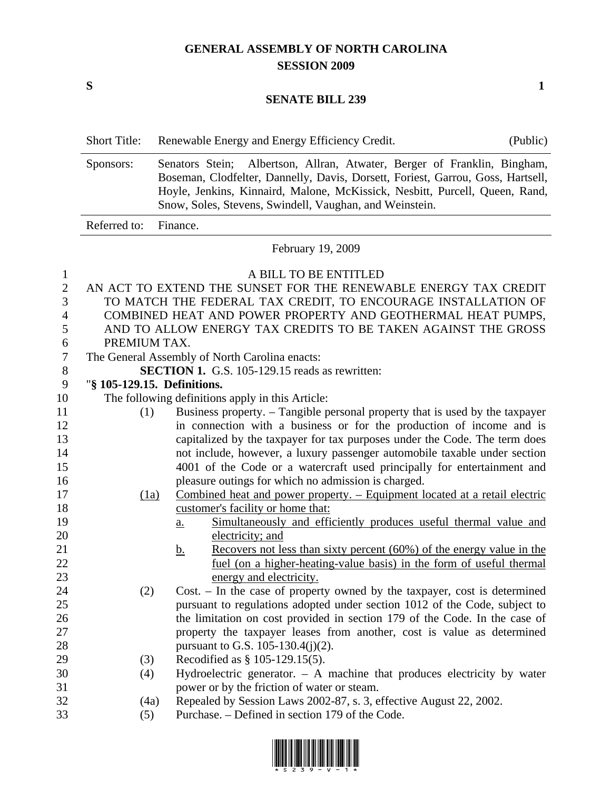## **GENERAL ASSEMBLY OF NORTH CAROLINA SESSION 2009**

 $S$  1

## **SENATE BILL 239**

| Sponsors:                                                     | Senators Stein; Albertson, Allran, Atwater, Berger of Franklin, Bingham,<br>Boseman, Clodfelter, Dannelly, Davis, Dorsett, Foriest, Garrou, Goss, Hartsell,<br>Hoyle, Jenkins, Kinnaird, Malone, McKissick, Nesbitt, Purcell, Queen, Rand,<br>Snow, Soles, Stevens, Swindell, Vaughan, and Weinstein. |  |  |  |  |  |  |
|---------------------------------------------------------------|-------------------------------------------------------------------------------------------------------------------------------------------------------------------------------------------------------------------------------------------------------------------------------------------------------|--|--|--|--|--|--|
| Referred to:                                                  | Finance.                                                                                                                                                                                                                                                                                              |  |  |  |  |  |  |
| February 19, 2009                                             |                                                                                                                                                                                                                                                                                                       |  |  |  |  |  |  |
|                                                               | A BILL TO BE ENTITLED                                                                                                                                                                                                                                                                                 |  |  |  |  |  |  |
|                                                               | AN ACT TO EXTEND THE SUNSET FOR THE RENEWABLE ENERGY TAX CREDIT                                                                                                                                                                                                                                       |  |  |  |  |  |  |
|                                                               | TO MATCH THE FEDERAL TAX CREDIT, TO ENCOURAGE INSTALLATION OF                                                                                                                                                                                                                                         |  |  |  |  |  |  |
|                                                               | COMBINED HEAT AND POWER PROPERTY AND GEOTHERMAL HEAT PUMPS,                                                                                                                                                                                                                                           |  |  |  |  |  |  |
| AND TO ALLOW ENERGY TAX CREDITS TO BE TAKEN AGAINST THE GROSS |                                                                                                                                                                                                                                                                                                       |  |  |  |  |  |  |
| PREMIUM TAX.                                                  |                                                                                                                                                                                                                                                                                                       |  |  |  |  |  |  |
| The General Assembly of North Carolina enacts:                |                                                                                                                                                                                                                                                                                                       |  |  |  |  |  |  |
| <b>SECTION 1.</b> G.S. 105-129.15 reads as rewritten:         |                                                                                                                                                                                                                                                                                                       |  |  |  |  |  |  |
| "§ 105-129.15. Definitions.                                   |                                                                                                                                                                                                                                                                                                       |  |  |  |  |  |  |
|                                                               | The following definitions apply in this Article:                                                                                                                                                                                                                                                      |  |  |  |  |  |  |
|                                                               | Business property. – Tangible personal property that is used by the taxpayer                                                                                                                                                                                                                          |  |  |  |  |  |  |
|                                                               | in connection with a business or for the production of income and is                                                                                                                                                                                                                                  |  |  |  |  |  |  |
|                                                               | capitalized by the taxpayer for tax purposes under the Code. The term does                                                                                                                                                                                                                            |  |  |  |  |  |  |
|                                                               | not include, however, a luxury passenger automobile taxable under section                                                                                                                                                                                                                             |  |  |  |  |  |  |
|                                                               | 4001 of the Code or a watercraft used principally for entertainment and                                                                                                                                                                                                                               |  |  |  |  |  |  |
|                                                               | pleasure outings for which no admission is charged.                                                                                                                                                                                                                                                   |  |  |  |  |  |  |
|                                                               | Combined heat and power property. – Equipment located at a retail electric                                                                                                                                                                                                                            |  |  |  |  |  |  |
|                                                               | customer's facility or home that:                                                                                                                                                                                                                                                                     |  |  |  |  |  |  |
|                                                               | Simultaneously and efficiently produces useful thermal value and<br>$a_{\cdot}$                                                                                                                                                                                                                       |  |  |  |  |  |  |
|                                                               | electricity; and                                                                                                                                                                                                                                                                                      |  |  |  |  |  |  |
|                                                               | Recovers not less than sixty percent $(60\%)$ of the energy value in the<br><u>b.</u>                                                                                                                                                                                                                 |  |  |  |  |  |  |
|                                                               | fuel (on a higher-heating-value basis) in the form of useful thermal                                                                                                                                                                                                                                  |  |  |  |  |  |  |
|                                                               | energy and electricity.                                                                                                                                                                                                                                                                               |  |  |  |  |  |  |
|                                                               | Cost. – In the case of property owned by the taxpayer, cost is determined                                                                                                                                                                                                                             |  |  |  |  |  |  |
|                                                               | pursuant to regulations adopted under section 1012 of the Code, subject to                                                                                                                                                                                                                            |  |  |  |  |  |  |
|                                                               | the limitation on cost provided in section 179 of the Code. In the case of                                                                                                                                                                                                                            |  |  |  |  |  |  |
|                                                               | property the taxpayer leases from another, cost is value as determined                                                                                                                                                                                                                                |  |  |  |  |  |  |
|                                                               | pursuant to G.S. 105-130.4(j)(2).                                                                                                                                                                                                                                                                     |  |  |  |  |  |  |
|                                                               | Recodified as $\S 105-129.15(5)$ .                                                                                                                                                                                                                                                                    |  |  |  |  |  |  |
|                                                               | Hydroelectric generator. - A machine that produces electricity by water                                                                                                                                                                                                                               |  |  |  |  |  |  |
|                                                               | power or by the friction of water or steam.                                                                                                                                                                                                                                                           |  |  |  |  |  |  |
|                                                               | Repealed by Session Laws 2002-87, s. 3, effective August 22, 2002.                                                                                                                                                                                                                                    |  |  |  |  |  |  |
|                                                               | (1)<br>(1a)<br>(2)<br>(3)<br>(4)<br>(4a)                                                                                                                                                                                                                                                              |  |  |  |  |  |  |

33 (5) Purchase. – Defined in section 179 of the Code.

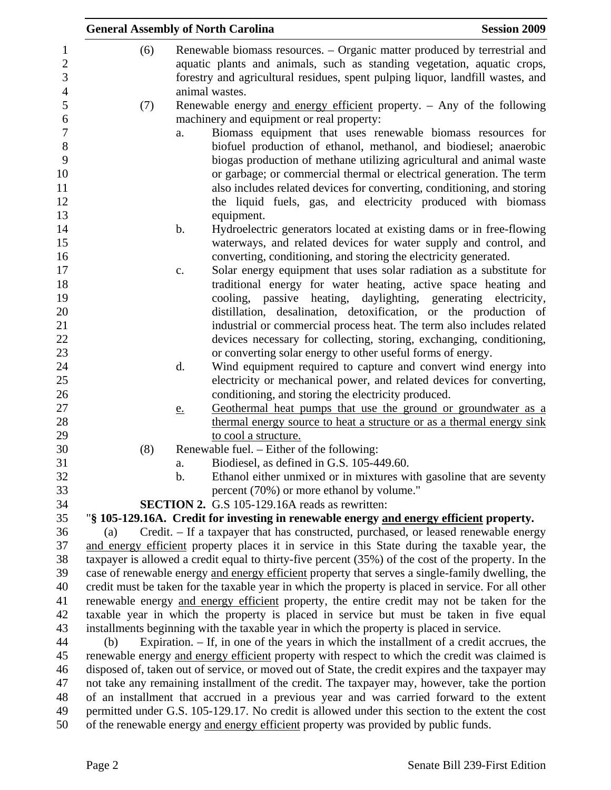|                | <b>General Assembly of North Carolina</b>                                                                                                                                                |                                                                                                 |                                                     | <b>Session 2009</b>                                                                                 |  |  |  |
|----------------|------------------------------------------------------------------------------------------------------------------------------------------------------------------------------------------|-------------------------------------------------------------------------------------------------|-----------------------------------------------------|-----------------------------------------------------------------------------------------------------|--|--|--|
| $\mathbf{1}$   | (6)                                                                                                                                                                                      |                                                                                                 |                                                     | Renewable biomass resources. – Organic matter produced by terrestrial and                           |  |  |  |
| $\mathbf{2}$   |                                                                                                                                                                                          |                                                                                                 |                                                     | aquatic plants and animals, such as standing vegetation, aquatic crops,                             |  |  |  |
| 3              |                                                                                                                                                                                          |                                                                                                 |                                                     | forestry and agricultural residues, spent pulping liquor, landfill wastes, and                      |  |  |  |
| $\overline{4}$ |                                                                                                                                                                                          |                                                                                                 | animal wastes.                                      |                                                                                                     |  |  |  |
| 5              | (7)                                                                                                                                                                                      |                                                                                                 |                                                     | Renewable energy and energy efficient property. - Any of the following                              |  |  |  |
| 6              |                                                                                                                                                                                          |                                                                                                 | machinery and equipment or real property:           |                                                                                                     |  |  |  |
| $\overline{7}$ |                                                                                                                                                                                          | a.                                                                                              |                                                     | Biomass equipment that uses renewable biomass resources for                                         |  |  |  |
| 8              |                                                                                                                                                                                          |                                                                                                 |                                                     | biofuel production of ethanol, methanol, and biodiesel; anaerobic                                   |  |  |  |
| 9              |                                                                                                                                                                                          |                                                                                                 |                                                     | biogas production of methane utilizing agricultural and animal waste                                |  |  |  |
| 10             |                                                                                                                                                                                          |                                                                                                 |                                                     | or garbage; or commercial thermal or electrical generation. The term                                |  |  |  |
| 11             |                                                                                                                                                                                          |                                                                                                 |                                                     | also includes related devices for converting, conditioning, and storing                             |  |  |  |
| 12             |                                                                                                                                                                                          |                                                                                                 |                                                     | the liquid fuels, gas, and electricity produced with biomass                                        |  |  |  |
| 13             |                                                                                                                                                                                          |                                                                                                 | equipment.                                          |                                                                                                     |  |  |  |
| 14             |                                                                                                                                                                                          | b.                                                                                              |                                                     | Hydroelectric generators located at existing dams or in free-flowing                                |  |  |  |
| 15             |                                                                                                                                                                                          |                                                                                                 |                                                     | waterways, and related devices for water supply and control, and                                    |  |  |  |
| 16             |                                                                                                                                                                                          |                                                                                                 |                                                     | converting, conditioning, and storing the electricity generated.                                    |  |  |  |
| 17             |                                                                                                                                                                                          | c.                                                                                              |                                                     | Solar energy equipment that uses solar radiation as a substitute for                                |  |  |  |
| 18             |                                                                                                                                                                                          |                                                                                                 |                                                     | traditional energy for water heating, active space heating and                                      |  |  |  |
| 19             |                                                                                                                                                                                          |                                                                                                 |                                                     | cooling, passive heating, daylighting, generating electricity,                                      |  |  |  |
| 20             |                                                                                                                                                                                          |                                                                                                 |                                                     | distillation, desalination, detoxification, or the production of                                    |  |  |  |
| 21             |                                                                                                                                                                                          |                                                                                                 |                                                     | industrial or commercial process heat. The term also includes related                               |  |  |  |
| 22             |                                                                                                                                                                                          |                                                                                                 |                                                     | devices necessary for collecting, storing, exchanging, conditioning,                                |  |  |  |
|                |                                                                                                                                                                                          |                                                                                                 |                                                     | or converting solar energy to other useful forms of energy.                                         |  |  |  |
| 24             |                                                                                                                                                                                          | d.                                                                                              |                                                     | Wind equipment required to capture and convert wind energy into                                     |  |  |  |
| 25             |                                                                                                                                                                                          |                                                                                                 |                                                     | electricity or mechanical power, and related devices for converting,                                |  |  |  |
| 26             |                                                                                                                                                                                          |                                                                                                 | conditioning, and storing the electricity produced. |                                                                                                     |  |  |  |
| 27             |                                                                                                                                                                                          | <u>e.</u>                                                                                       |                                                     | Geothermal heat pumps that use the ground or groundwater as a                                       |  |  |  |
| 28             |                                                                                                                                                                                          |                                                                                                 |                                                     | thermal energy source to heat a structure or as a thermal energy sink                               |  |  |  |
| 29             |                                                                                                                                                                                          |                                                                                                 | to cool a structure.                                |                                                                                                     |  |  |  |
| 30             | (8)                                                                                                                                                                                      |                                                                                                 | Renewable fuel. - Either of the following:          |                                                                                                     |  |  |  |
| 31<br>32       |                                                                                                                                                                                          | a.                                                                                              | Biodiesel, as defined in G.S. 105-449.60.           |                                                                                                     |  |  |  |
|                |                                                                                                                                                                                          | $\mathbf b$ .                                                                                   |                                                     | Ethanol either unmixed or in mixtures with gasoline that are seventy                                |  |  |  |
|                |                                                                                                                                                                                          |                                                                                                 | percent (70%) or more ethanol by volume."           |                                                                                                     |  |  |  |
|                |                                                                                                                                                                                          |                                                                                                 | SECTION 2. G.S 105-129.16A reads as rewritten:      |                                                                                                     |  |  |  |
|                |                                                                                                                                                                                          |                                                                                                 |                                                     | "§ 105-129.16A. Credit for investing in renewable energy and energy efficient property.             |  |  |  |
|                | (a)                                                                                                                                                                                      |                                                                                                 |                                                     | Credit. - If a taxpayer that has constructed, purchased, or leased renewable energy                 |  |  |  |
|                |                                                                                                                                                                                          |                                                                                                 |                                                     | and energy efficient property places it in service in this State during the taxable year, the       |  |  |  |
| 38             |                                                                                                                                                                                          |                                                                                                 |                                                     | taxpayer is allowed a credit equal to thirty-five percent (35%) of the cost of the property. In the |  |  |  |
| 39             |                                                                                                                                                                                          |                                                                                                 |                                                     | case of renewable energy and energy efficient property that serves a single-family dwelling, the    |  |  |  |
| 40<br>41       |                                                                                                                                                                                          |                                                                                                 |                                                     | credit must be taken for the taxable year in which the property is placed in service. For all other |  |  |  |
| 42             |                                                                                                                                                                                          |                                                                                                 |                                                     | renewable energy and energy efficient property, the entire credit may not be taken for the          |  |  |  |
|                | taxable year in which the property is placed in service but must be taken in five equal<br>installments beginning with the taxable year in which the property is placed in service.      |                                                                                                 |                                                     |                                                                                                     |  |  |  |
| 43<br>44       |                                                                                                                                                                                          |                                                                                                 |                                                     |                                                                                                     |  |  |  |
|                | Expiration. $-$ If, in one of the years in which the installment of a credit accrues, the<br>(b)                                                                                         |                                                                                                 |                                                     |                                                                                                     |  |  |  |
| 46             | renewable energy and energy efficient property with respect to which the credit was claimed is                                                                                           |                                                                                                 |                                                     |                                                                                                     |  |  |  |
|                | disposed of, taken out of service, or moved out of State, the credit expires and the taxpayer may                                                                                        |                                                                                                 |                                                     |                                                                                                     |  |  |  |
|                | not take any remaining installment of the credit. The taxpayer may, however, take the portion<br>of an installment that accrued in a previous year and was carried forward to the extent |                                                                                                 |                                                     |                                                                                                     |  |  |  |
|                |                                                                                                                                                                                          | permitted under G.S. 105-129.17. No credit is allowed under this section to the extent the cost |                                                     |                                                                                                     |  |  |  |
|                |                                                                                                                                                                                          |                                                                                                 |                                                     | of the renewable energy and energy efficient property was provided by public funds.                 |  |  |  |
| 50             |                                                                                                                                                                                          |                                                                                                 |                                                     |                                                                                                     |  |  |  |